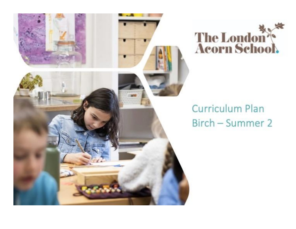



# **Curriculum Plan** Birch - Summer 2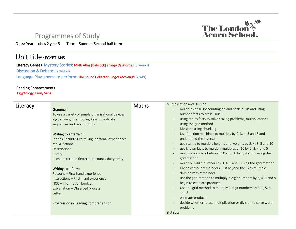#### Programmes of Study

Class/ Year class 2 year 3 Term Summer Second half term

## Unit title : EGYPTIANS

Literacy Genres Mystery Stories: Myth Atlas [Babcock] *Thiago de Moraes* (3 weeks) Discussion & Debate: (2 weeks) Language Play-poems to perform: The Sound Collector, *Roger McGough* (2 wks)

#### Reading Enhancements

Egyptology, Emily Sans

| Literacy |                                                     | <b>Maths</b> | Multiplication and Division                                                |
|----------|-----------------------------------------------------|--------------|----------------------------------------------------------------------------|
|          | Grammar                                             |              | multiples of 10 by counting on and back in 10s and using                   |
|          | To use a variety of simple organisational devices   |              | number facts to cross 100s                                                 |
|          | e.g., arrows, lines, boxes, keys, to indicate       |              | using tables facts to solve scaling problems, multiplications              |
|          | sequences and relationships.                        |              | using the grid method                                                      |
|          |                                                     |              | Divisions using chunking                                                   |
|          | Writing to entertain:                               |              | Use function machines to multiply by 2, 3, 4, 5 and 8 and                  |
|          | Stories (Including re-telling, personal experiences |              | understand the inverse                                                     |
|          | real & fictional)                                   |              | use scaling to multiply heights and weights by 2, 4, 8, 5 and 10           |
|          | Descriptions                                        |              | use known facts to multiply multiples of 10 by 2, 3, 4 and 5               |
|          | Poetry                                              |              | multiply numbers between 10 and 30 by 3, 4 and 5 using the                 |
|          | In character role (letter to recount / dairy entry) |              | grid method                                                                |
|          |                                                     |              | multiply 2-digit numbers by 3, 4, 5 and 8 using the grid method            |
|          | Writing to inform:                                  |              | Divide without remainders, just beyond the 12th multiple                   |
|          | Recount - First-hand experience                     |              | division with remainder                                                    |
|          | Instructions - First-hand experience                |              | use the grid method to multiply 2-digit numbers by 3, 4, 5 and 8<br>$\sim$ |
|          | NCR - Information booklet                           |              | begin to estimate products                                                 |
|          | Explanation - Observed process                      |              | Use the grid method to multiply 2-digit numbers by 3, 4, 5, 6              |
|          | Letter                                              |              | and 8                                                                      |
|          |                                                     |              | estimate products                                                          |
|          | Progression in Reading Comprehension                |              | decide whether to use multiplication or division to solve word             |
|          |                                                     |              | problems                                                                   |
|          |                                                     |              | <b>Statistics</b>                                                          |

 $\overline{a}$ 

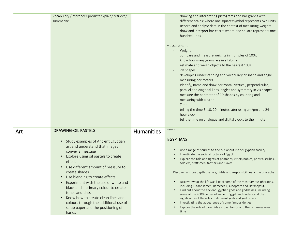|     | Vocabulary /Inference/ predict/ explain/ retrieve/<br>summarise                                                                                                                                                                                                                                                                                                                                                                                                                                                                                                     |                   | drawing and interpreting pictograms and bar graphs with<br>different scales; where one square/symbol represents two units<br>Record and analyse data in the context of measuring weights<br>draw and interpret bar charts where one square represents one<br>hundred units<br>Measurement<br>Weight<br>compare and measure weights in multiples of 100g<br>know how many grams are in a kilogram<br>estimate and weigh objects to the nearest 100g<br>2D Shapes<br>developing understanding and vocabulary of shape and angle<br>measuring perimeters<br>Identify, name and draw horizontal, vertical, perpendicular,                                                                                                                                                                                                                                       |
|-----|---------------------------------------------------------------------------------------------------------------------------------------------------------------------------------------------------------------------------------------------------------------------------------------------------------------------------------------------------------------------------------------------------------------------------------------------------------------------------------------------------------------------------------------------------------------------|-------------------|-------------------------------------------------------------------------------------------------------------------------------------------------------------------------------------------------------------------------------------------------------------------------------------------------------------------------------------------------------------------------------------------------------------------------------------------------------------------------------------------------------------------------------------------------------------------------------------------------------------------------------------------------------------------------------------------------------------------------------------------------------------------------------------------------------------------------------------------------------------|
|     |                                                                                                                                                                                                                                                                                                                                                                                                                                                                                                                                                                     |                   | parallel and diagonal lines, angles and symmetry in 2D shapes<br>measure the perimeter of 2D shapes by counting and<br>measuring with a ruler<br>Time<br>$\overline{\phantom{a}}$<br>telling the time 5, 10, 20 minutes later using am/pm and 24-<br>hour clock<br>tell the time on analogue and digital clocks to the minute                                                                                                                                                                                                                                                                                                                                                                                                                                                                                                                               |
| Art | <b>DRAWING-OIL PASTELS</b><br>Study examples of Ancient Egyptian<br>$\bullet$<br>art and understand that images<br>convey a message<br>Explore using oil pastels to create<br>$\bullet$<br>effect<br>Use different amount of pressure to<br>$\bullet$<br>create shades<br>Use blending to create effects<br>$\bullet$<br>Experiment with the use of white and<br>black and a primary colour to create<br>tones and tints<br>Know how to create clean lines and<br>$\bullet$<br>colours through the additional use of<br>scrap paper and the positioning of<br>hands | <b>Humanities</b> | <b>History</b><br><b>EGYPTIANS</b><br>Use a range of sources to find out about life of Egyptian society<br>Investigate the social structure of Egypt<br>Explore the role and rights of pharaohs, viziers, nobles, priests, scribes,<br>soldiers, craftsmen, farmers and slaves.<br>Discover in more depth the role, rights and responsibilities of the pharaohs<br>Discover what the life was like of some of the most famous pharaohs,<br>including Tutanhkamen, Rameses II, Cleopatra and Hatshepsut.<br>Find out about the ancient Egyptian gods and goddesses, including<br>$\bullet$<br>some of the 2000 deities of ancient Egypt and understand the<br>significance of the roles of different gods and goddesses<br>Investigating the appearance of some famous deities<br>Explore the role of pyramids as royal tombs and their changes over<br>time |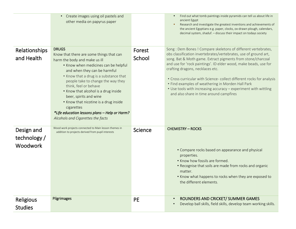|                                               | Create images using oil pastels and<br>$\bullet$<br>other media on papyrus paper                                                                                                                                                                                                                                                                                                                                                                                                          |                  | Find out what tomb paintings inside pyramids can tell us about life in<br>$\bullet$<br>ancient Egypt<br>Research and investigate the greatest inventions and achievements of<br>the ancient Egyptians e.g. paper, clocks, ox-drawn plough, calendars,<br>decimal system, shaduf. - discuss their impact on todays society                                                                                                                                                                                                                             |
|-----------------------------------------------|-------------------------------------------------------------------------------------------------------------------------------------------------------------------------------------------------------------------------------------------------------------------------------------------------------------------------------------------------------------------------------------------------------------------------------------------------------------------------------------------|------------------|-------------------------------------------------------------------------------------------------------------------------------------------------------------------------------------------------------------------------------------------------------------------------------------------------------------------------------------------------------------------------------------------------------------------------------------------------------------------------------------------------------------------------------------------------------|
| Relationships<br>and Health                   | <b>DRUGS</b><br>Know that there are some things that can<br>harm the body and make us ill<br>• Know when medicines can be helpful<br>and when they can be harmful<br>• Know that a drug is a substance that<br>people take to change the way they<br>think, feel or behave<br>• Know that alcohol is a drug inside<br>beer, spirits and wine<br>• Know that nicotine is a drug inside<br>cigarettes<br>*Life education lessons plans - Help or Harm?<br>Alcohols and Cigarettes the facts | Forest<br>School | Song : Dem Bones ! Compare skeletons of different vertebrates,<br>obs classification invertebrates/vertebrates, use of ground art,<br>song. Bat & Moth game. Extract pigments from stone/charcoal<br>and use for 'rock paintings'. ID elder wood, make beads, use for<br>crafting dragons, necklaces etc.<br>• Cross curricular with Science- collect different rocks for analysis<br>• Find examples of weathering in Morden Hall Park<br>• Use tools with increasing accuracy - experiment with wittling<br>and also share in time around campfires |
| Design and<br>technology /<br><b>Woodwork</b> | Wood work projects connected to Main lesson themes in<br>addition to projects derived from pupil interests                                                                                                                                                                                                                                                                                                                                                                                | Science          | <b>CHEMISTRY - ROCKS</b><br>• Compare rocks based on appearance and physical<br>properties.<br>• Know how fossils are formed.<br>• Recognise that soils are made from rocks and organic<br>matter.<br>. Know what happens to rocks when they are exposed to<br>the different elements.                                                                                                                                                                                                                                                                |
| Religious<br><b>Studies</b>                   | <b>Pilgrimages</b>                                                                                                                                                                                                                                                                                                                                                                                                                                                                        | <b>PE</b>        | ROUNDERS AND CRICKET/ SUMMER GAMES<br>$\bullet$<br>Develop ball skills, field skills, develop team working skills.<br>$\bullet$                                                                                                                                                                                                                                                                                                                                                                                                                       |